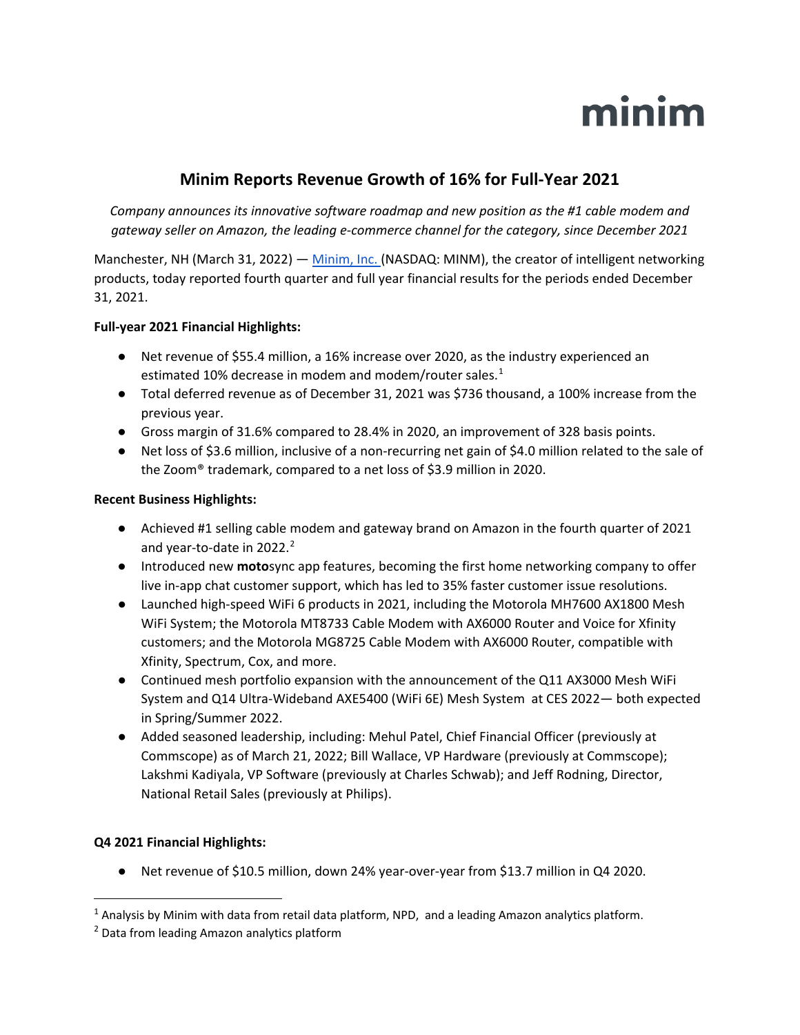# minim

# **Minim Reports Revenue Growth of 16% for Full-Year 2021**

*Company announces its innovative software roadmap and new position as the #1 cable modem and gateway seller on Amazon, the leading e-commerce channel for the category, since December 2021*

Manchester, NH (March 31, 2022) — [Minim, Inc. \(](http://www.minim.com/)NASDAQ: MINM), the creator of intelligent networking products, today reported fourth quarter and full year financial results for the periods ended December 31, 2021.

# **Full-year 2021 Financial Highlights:**

- Net revenue of \$55.4 million, a 16% increase over 2020, as the industry experienced an estimated [1](#page-0-0)0% decrease in modem and modem/router sales.<sup>1</sup>
- Total deferred revenue as of December 31, 2021 was \$736 thousand, a 100% increase from the previous year.
- Gross margin of 31.6% compared to 28.4% in 2020, an improvement of 328 basis points.
- Net loss of \$3.6 million, inclusive of a non-recurring net gain of \$4.0 million related to the sale of the Zoom® trademark, compared to a net loss of \$3.9 million in 2020.

# **Recent Business Highlights:**

- Achieved #1 selling cable modem and gateway brand on Amazon in the fourth quarter of 2021 and year-to-date in [2](#page-0-1)022. $2$
- Introduced new **moto**sync app features, becoming the first home networking company to offer live in-app chat customer support, which has led to 35% faster customer issue resolutions.
- Launched high-speed WiFi 6 products in 2021, including the Motorola MH7600 AX1800 Mesh WiFi System; the Motorola MT8733 Cable Modem with AX6000 Router and Voice for Xfinity customers; and the Motorola MG8725 Cable Modem with AX6000 Router, compatible with Xfinity, Spectrum, Cox, and more.
- Continued mesh portfolio expansion with the announcement of the Q11 AX3000 Mesh WiFi System and Q14 Ultra-Wideband AXE5400 (WiFi 6E) Mesh System at CES 2022— both expected in Spring/Summer 2022.
- Added seasoned leadership, including: Mehul Patel, Chief Financial Officer (previously at Commscope) as of March 21, 2022; Bill Wallace, VP Hardware (previously at Commscope); Lakshmi Kadiyala, VP Software (previously at Charles Schwab); and Jeff Rodning, Director, National Retail Sales (previously at Philips).

# **Q4 2021 Financial Highlights:**

● Net revenue of \$10.5 million, down 24% year-over-year from \$13.7 million in Q4 2020.

<span id="page-0-0"></span> $1$  Analysis by Minim with data from retail data platform, NPD, and a leading Amazon analytics platform.

<span id="page-0-1"></span><sup>&</sup>lt;sup>2</sup> Data from leading Amazon analytics platform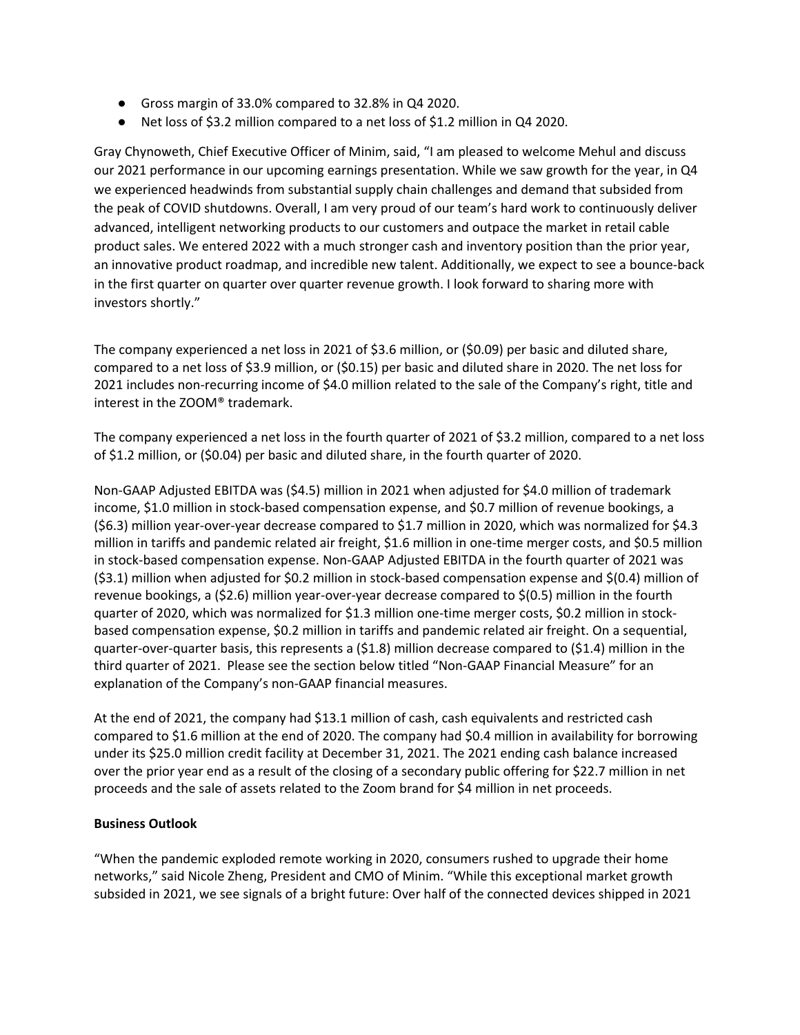- Gross margin of 33.0% compared to 32.8% in Q4 2020.
- Net loss of \$3.2 million compared to a net loss of \$1.2 million in Q4 2020.

Gray Chynoweth, Chief Executive Officer of Minim, said, "I am pleased to welcome Mehul and discuss our 2021 performance in our upcoming earnings presentation. While we saw growth for the year, in Q4 we experienced headwinds from substantial supply chain challenges and demand that subsided from the peak of COVID shutdowns. Overall, I am very proud of our team's hard work to continuously deliver advanced, intelligent networking products to our customers and outpace the market in retail cable product sales. We entered 2022 with a much stronger cash and inventory position than the prior year, an innovative product roadmap, and incredible new talent. Additionally, we expect to see a bounce-back in the first quarter on quarter over quarter revenue growth. I look forward to sharing more with investors shortly."

The company experienced a net loss in 2021 of \$3.6 million, or (\$0.09) per basic and diluted share, compared to a net loss of \$3.9 million, or (\$0.15) per basic and diluted share in 2020. The net loss for 2021 includes non-recurring income of \$4.0 million related to the sale of the Company's right, title and interest in the ZOOM® trademark.

The company experienced a net loss in the fourth quarter of 2021 of \$3.2 million, compared to a net loss of \$1.2 million, or (\$0.04) per basic and diluted share, in the fourth quarter of 2020.

Non-GAAP Adjusted EBITDA was (\$4.5) million in 2021 when adjusted for \$4.0 million of trademark income, \$1.0 million in stock-based compensation expense, and \$0.7 million of revenue bookings, a (\$6.3) million year-over-year decrease compared to \$1.7 million in 2020, which was normalized for \$4.3 million in tariffs and pandemic related air freight, \$1.6 million in one-time merger costs, and \$0.5 million in stock-based compensation expense. Non-GAAP Adjusted EBITDA in the fourth quarter of 2021 was (\$3.1) million when adjusted for \$0.2 million in stock-based compensation expense and \$(0.4) million of revenue bookings, a (\$2.6) million year-over-year decrease compared to \$(0.5) million in the fourth quarter of 2020, which was normalized for \$1.3 million one-time merger costs, \$0.2 million in stockbased compensation expense, \$0.2 million in tariffs and pandemic related air freight. On a sequential, quarter-over-quarter basis, this represents a (\$1.8) million decrease compared to (\$1.4) million in the third quarter of 2021. Please see the section below titled "Non-GAAP Financial Measure" for an explanation of the Company's non-GAAP financial measures.

At the end of 2021, the company had \$13.1 million of cash, cash equivalents and restricted cash compared to \$1.6 million at the end of 2020. The company had \$0.4 million in availability for borrowing under its \$25.0 million credit facility at December 31, 2021. The 2021 ending cash balance increased over the prior year end as a result of the closing of a secondary public offering for \$22.7 million in net proceeds and the sale of assets related to the Zoom brand for \$4 million in net proceeds.

#### **Business Outlook**

"When the pandemic exploded remote working in 2020, consumers rushed to upgrade their home networks," said Nicole Zheng, President and CMO of Minim. "While this exceptional market growth subsided in 2021, we see signals of a bright future: Over half of the connected devices shipped in 2021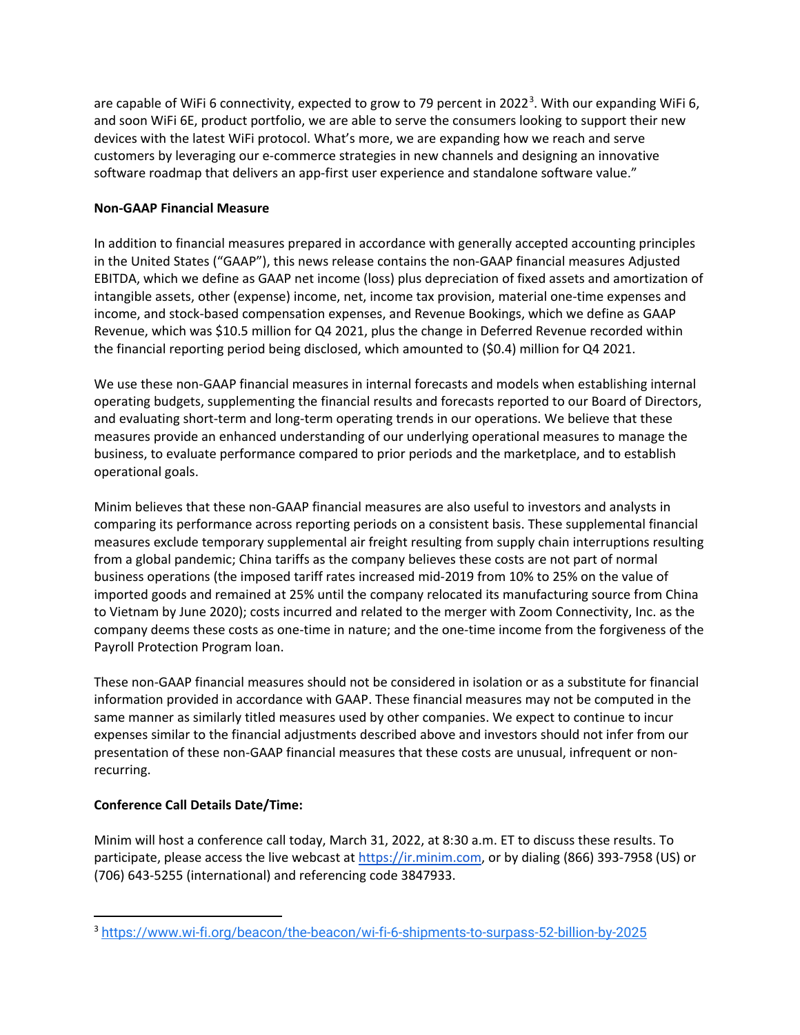are capable of WiFi 6 connectivity, expected to grow to 79 percent in 2022<sup>[3](#page-2-0)</sup>. With our expanding WiFi 6, and soon WiFi 6E, product portfolio, we are able to serve the consumers looking to support their new devices with the latest WiFi protocol. What's more, we are expanding how we reach and serve customers by leveraging our e-commerce strategies in new channels and designing an innovative software roadmap that delivers an app-first user experience and standalone software value."

### **Non-GAAP Financial Measure**

In addition to financial measures prepared in accordance with generally accepted accounting principles in the United States ("GAAP"), this news release contains the non-GAAP financial measures Adjusted EBITDA, which we define as GAAP net income (loss) plus depreciation of fixed assets and amortization of intangible assets, other (expense) income, net, income tax provision, material one-time expenses and income, and stock-based compensation expenses, and Revenue Bookings, which we define as GAAP Revenue, which was \$10.5 million for Q4 2021, plus the change in Deferred Revenue recorded within the financial reporting period being disclosed, which amounted to (\$0.4) million for Q4 2021.

We use these non-GAAP financial measures in internal forecasts and models when establishing internal operating budgets, supplementing the financial results and forecasts reported to our Board of Directors, and evaluating short-term and long-term operating trends in our operations. We believe that these measures provide an enhanced understanding of our underlying operational measures to manage the business, to evaluate performance compared to prior periods and the marketplace, and to establish operational goals.

Minim believes that these non-GAAP financial measures are also useful to investors and analysts in comparing its performance across reporting periods on a consistent basis. These supplemental financial measures exclude temporary supplemental air freight resulting from supply chain interruptions resulting from a global pandemic; China tariffs as the company believes these costs are not part of normal business operations (the imposed tariff rates increased mid-2019 from 10% to 25% on the value of imported goods and remained at 25% until the company relocated its manufacturing source from China to Vietnam by June 2020); costs incurred and related to the merger with Zoom Connectivity, Inc. as the company deems these costs as one-time in nature; and the one-time income from the forgiveness of the Payroll Protection Program loan.

These non-GAAP financial measures should not be considered in isolation or as a substitute for financial information provided in accordance with GAAP. These financial measures may not be computed in the same manner as similarly titled measures used by other companies. We expect to continue to incur expenses similar to the financial adjustments described above and investors should not infer from our presentation of these non-GAAP financial measures that these costs are unusual, infrequent or nonrecurring.

# **Conference Call Details Date/Time:**

Minim will host a conference call today, March 31, 2022, at 8:30 a.m. ET to discuss these results. To participate, please access the live webcast at [https://ir.minim.com,](https://ir.minim.co/) or by dialing (866) 393-7958 (US) or (706) 643-5255 (international) and referencing code 3847933.

<span id="page-2-0"></span><sup>3</sup> <https://www.wi-fi.org/beacon/the-beacon/wi-fi-6-shipments-to-surpass-52-billion-by-2025>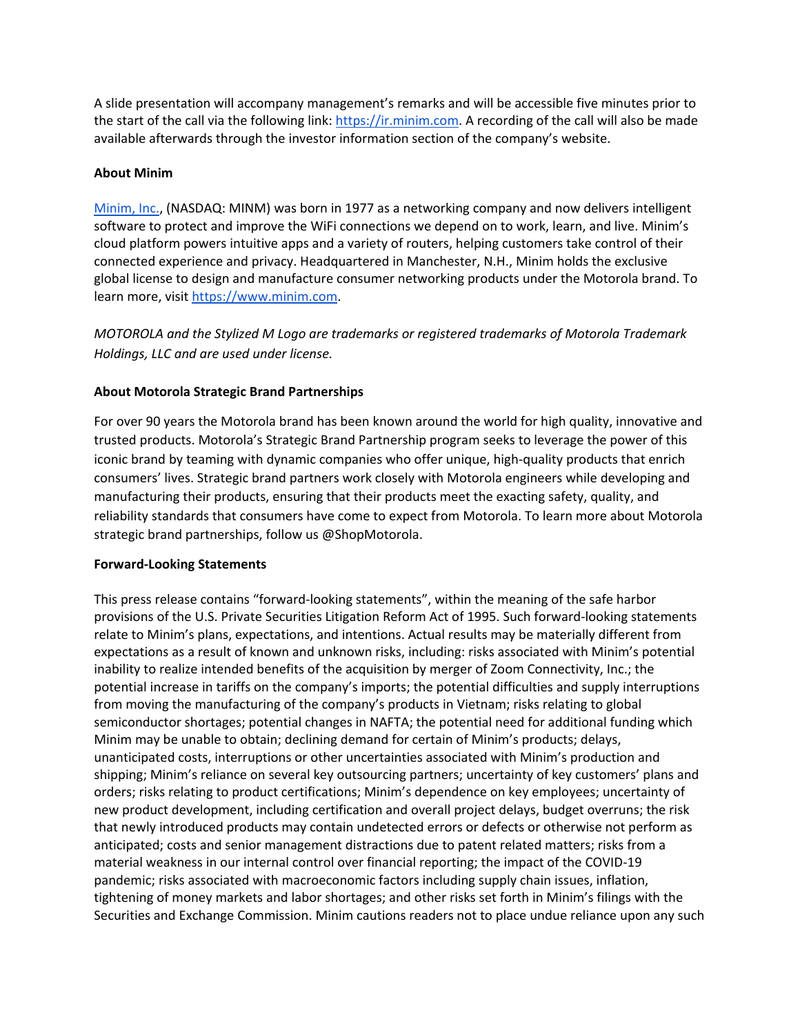A slide presentation will accompany management's remarks and will be accessible five minutes prior to the start of the call via the following link: [https://ir.minim.com.](https://ir.minim.com/) A recording of the call will also be made available afterwards through the investor information section of the company's website.

#### **About Minim**

[Minim, Inc.,](https://www.globenewswire.com/Tracker?data=BVSaxN8J3WIQZJiICNMOTiZN8xmPmf1fszphvzogxlLlCMIOMdq6wFMIC0EuJ_qu_PkQTnMttHS7lUcjeIsJmfyMGauh4VXPv0SRwUgThdYnbxn9PZDKsqS984fdYDK6zKJVUlKLsVG836dy3_ro4wcoosmgpzrUkTe7kPQtJYS-YLFGOYdk6US-VJnDHe-gXQd89LeGCO6LIZrZIz2LzAQkyUlYlkZAj2XBFwz1HVs=) (NASDAQ: MINM) was born in 1977 as a networking company and now delivers intelligent software to protect and improve the WiFi connections we depend on to work, learn, and live. Minim's cloud platform powers intuitive apps and a variety of routers, helping customers take control of their connected experience and privacy. Headquartered in Manchester, N.H., Minim holds the exclusive global license to design and manufacture consumer networking products under the Motorola brand. To learn more, visit [https://www.minim.com.](https://www.minim.com/)

*MOTOROLA and the Stylized M Logo are trademarks or registered trademarks of Motorola Trademark Holdings, LLC and are used under license.*

#### **About Motorola Strategic Brand Partnerships**

For over 90 years the Motorola brand has been known around the world for high quality, innovative and trusted products. Motorola's Strategic Brand Partnership program seeks to leverage the power of this iconic brand by teaming with dynamic companies who offer unique, high-quality products that enrich consumers' lives. Strategic brand partners work closely with Motorola engineers while developing and manufacturing their products, ensuring that their products meet the exacting safety, quality, and reliability standards that consumers have come to expect from Motorola. To learn more about Motorola strategic brand partnerships, follow us @ShopMotorola.

#### **Forward-Looking Statements**

This press release contains "forward-looking statements", within the meaning of the safe harbor provisions of the U.S. Private Securities Litigation Reform Act of 1995. Such forward-looking statements relate to Minim's plans, expectations, and intentions. Actual results may be materially different from expectations as a result of known and unknown risks, including: risks associated with Minim's potential inability to realize intended benefits of the acquisition by merger of Zoom Connectivity, Inc.; the potential increase in tariffs on the company's imports; the potential difficulties and supply interruptions from moving the manufacturing of the company's products in Vietnam; risks relating to global semiconductor shortages; potential changes in NAFTA; the potential need for additional funding which Minim may be unable to obtain; declining demand for certain of Minim's products; delays, unanticipated costs, interruptions or other uncertainties associated with Minim's production and shipping; Minim's reliance on several key outsourcing partners; uncertainty of key customers' plans and orders; risks relating to product certifications; Minim's dependence on key employees; uncertainty of new product development, including certification and overall project delays, budget overruns; the risk that newly introduced products may contain undetected errors or defects or otherwise not perform as anticipated; costs and senior management distractions due to patent related matters; risks from a material weakness in our internal control over financial reporting; the impact of the COVID-19 pandemic; risks associated with macroeconomic factors including supply chain issues, inflation, tightening of money markets and labor shortages; and other risks set forth in Minim's filings with the Securities and Exchange Commission. Minim cautions readers not to place undue reliance upon any such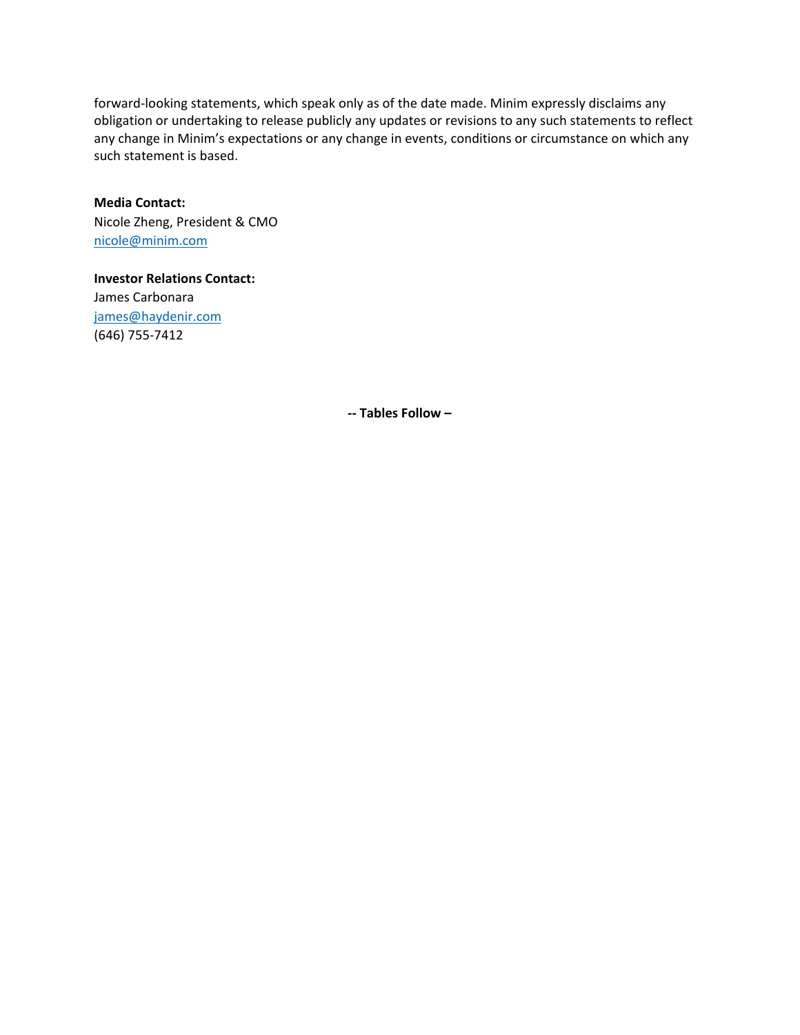forward-looking statements, which speak only as of the date made. Minim expressly disclaims any obligation or undertaking to release publicly any updates or revisions to any such statements to reflect any change in Minim's expectations or any change in events, conditions or circumstance on which any such statement is based.

**Media Contact:** Nicole Zheng, President & CMO [nicole@minim.com](mailto:nicole@minim.com)

**Investor Relations Contact:**  James Carbonara [james@haydenir.com](mailto:james@haydenir.com)  (646) 755-7412

**-- Tables Follow –**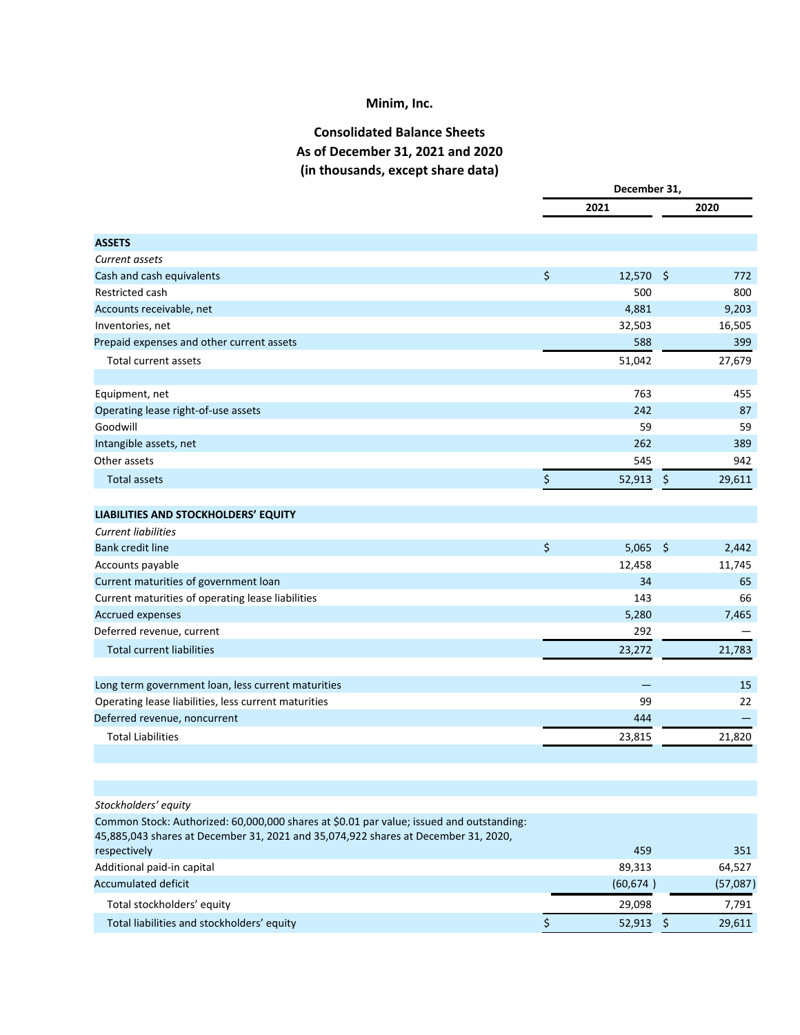# **Minim, Inc.**

# **Consolidated Balance Sheets As of December 31, 2021 and 2020 (in thousands, except share data)**

|                                                                                                                                                                                | December 31,    |               |          |
|--------------------------------------------------------------------------------------------------------------------------------------------------------------------------------|-----------------|---------------|----------|
|                                                                                                                                                                                | 2021            |               | 2020     |
|                                                                                                                                                                                |                 |               |          |
| <b>ASSETS</b>                                                                                                                                                                  |                 |               |          |
| Current assets                                                                                                                                                                 |                 |               |          |
| Cash and cash equivalents                                                                                                                                                      | \$<br>12,570 \$ |               | 772      |
| Restricted cash                                                                                                                                                                | 500             |               | 800      |
| Accounts receivable, net                                                                                                                                                       | 4,881           |               | 9,203    |
| Inventories, net                                                                                                                                                               | 32,503          |               | 16,505   |
| Prepaid expenses and other current assets                                                                                                                                      | 588             |               | 399      |
| <b>Total current assets</b>                                                                                                                                                    | 51,042          |               | 27,679   |
| Equipment, net                                                                                                                                                                 | 763             |               | 455      |
| Operating lease right-of-use assets                                                                                                                                            | 242             |               | 87       |
| Goodwill                                                                                                                                                                       | 59              |               | 59       |
| Intangible assets, net                                                                                                                                                         | 262             |               | 389      |
| Other assets                                                                                                                                                                   | 545             |               | 942      |
| <b>Total assets</b>                                                                                                                                                            | \$<br>52,913    | $\frac{1}{2}$ | 29,611   |
|                                                                                                                                                                                |                 |               |          |
| LIABILITIES AND STOCKHOLDERS' EQUITY                                                                                                                                           |                 |               |          |
| <b>Current liabilities</b>                                                                                                                                                     |                 |               |          |
| <b>Bank credit line</b>                                                                                                                                                        | \$<br>5,065     | -\$           | 2,442    |
| Accounts payable                                                                                                                                                               | 12,458          |               | 11,745   |
| Current maturities of government loan                                                                                                                                          | 34              |               | 65       |
| Current maturities of operating lease liabilities                                                                                                                              | 143             |               | 66       |
| <b>Accrued expenses</b>                                                                                                                                                        | 5,280           |               | 7,465    |
| Deferred revenue, current                                                                                                                                                      | 292             |               |          |
| <b>Total current liabilities</b>                                                                                                                                               | 23,272          |               | 21,783   |
|                                                                                                                                                                                |                 |               |          |
| Long term government loan, less current maturities                                                                                                                             |                 |               | 15<br>22 |
| Operating lease liabilities, less current maturities                                                                                                                           | 99              |               |          |
| Deferred revenue, noncurrent                                                                                                                                                   | 444             |               |          |
| <b>Total Liabilities</b>                                                                                                                                                       | 23,815          |               | 21,820   |
|                                                                                                                                                                                |                 |               |          |
| Stockholders' equity                                                                                                                                                           |                 |               |          |
| Common Stock: Authorized: 60,000,000 shares at \$0.01 par value; issued and outstanding:<br>45,885,043 shares at December 31, 2021 and 35,074,922 shares at December 31, 2020, |                 |               |          |
| respectively                                                                                                                                                                   | 459             |               | 351      |
| Additional paid-in capital                                                                                                                                                     | 89,313          |               | 64,527   |
| <b>Accumulated deficit</b>                                                                                                                                                     | (60, 674)       |               | (57,087) |
| Total stockholders' equity                                                                                                                                                     | 29,098          |               | 7,791    |

Total liabilities and stockholders' equity  $\overline{\varsigma}$  52,913  $\overline{\varsigma}$  52,913  $\overline{\varsigma}$  29,611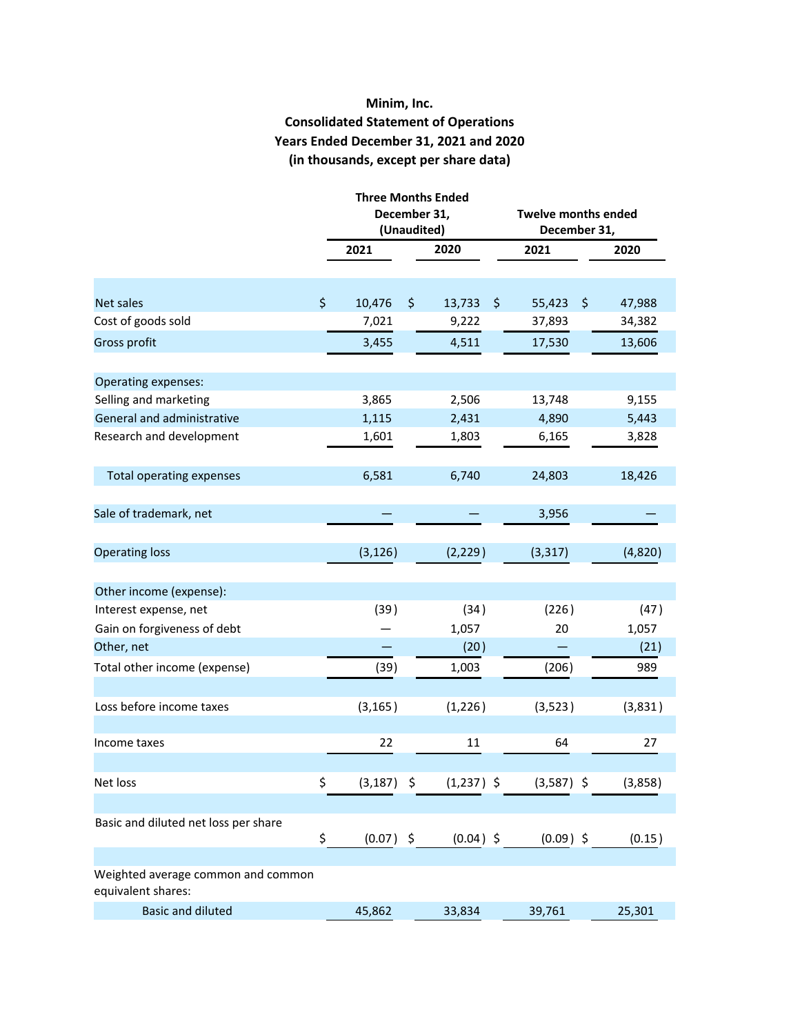# **Minim, Inc. Consolidated Statement of Operations Years Ended December 31, 2021 and 2020 (in thousands, except per share data)**

|                                                          | <b>Three Months Ended</b><br>December 31,<br>(Unaudited) |    |              | <b>Twelve months ended</b><br>December 31, |         |  |
|----------------------------------------------------------|----------------------------------------------------------|----|--------------|--------------------------------------------|---------|--|
|                                                          | 2021                                                     |    | 2020         | 2021                                       | 2020    |  |
|                                                          |                                                          |    |              |                                            |         |  |
| Net sales                                                | \$<br>10,476                                             | \$ | \$<br>13,733 | \$<br>55,423                               | 47,988  |  |
| Cost of goods sold                                       | 7,021                                                    |    | 9,222        | 37,893                                     | 34,382  |  |
| Gross profit                                             | 3,455                                                    |    | 4,511        | 17,530                                     | 13,606  |  |
| Operating expenses:                                      |                                                          |    |              |                                            |         |  |
| Selling and marketing                                    | 3,865                                                    |    | 2,506        | 13,748                                     | 9,155   |  |
| General and administrative                               | 1,115                                                    |    | 2,431        | 4,890                                      | 5,443   |  |
| Research and development                                 | 1,601                                                    |    | 1,803        | 6,165                                      | 3,828   |  |
| <b>Total operating expenses</b>                          | 6,581                                                    |    | 6,740        | 24,803                                     | 18,426  |  |
|                                                          |                                                          |    |              |                                            |         |  |
| Sale of trademark, net                                   |                                                          |    |              | 3,956                                      |         |  |
|                                                          |                                                          |    |              |                                            |         |  |
| <b>Operating loss</b>                                    | (3, 126)                                                 |    | (2, 229)     | (3, 317)                                   | (4,820) |  |
|                                                          |                                                          |    |              |                                            |         |  |
| Other income (expense):                                  |                                                          |    |              |                                            |         |  |
| Interest expense, net                                    | (39)                                                     |    | (34)         | (226)                                      | (47)    |  |
| Gain on forgiveness of debt                              |                                                          |    | 1,057        | 20                                         | 1,057   |  |
| Other, net                                               |                                                          |    | (20)         |                                            | (21)    |  |
| Total other income (expense)                             | (39)                                                     |    | 1,003        | (206)                                      | 989     |  |
|                                                          |                                                          |    |              |                                            |         |  |
| Loss before income taxes                                 | (3, 165)                                                 |    | (1,226)      | (3,523)                                    | (3,831) |  |
| Income taxes                                             | 22                                                       |    | 11           | 64                                         | 27      |  |
|                                                          |                                                          |    |              |                                            |         |  |
| Net loss                                                 | \$<br>$(3, 187)$ \$                                      |    | $(1,237)$ \$ | $(3,587)$ \$                               | (3,858) |  |
|                                                          |                                                          |    |              |                                            |         |  |
| Basic and diluted net loss per share                     |                                                          |    |              |                                            |         |  |
|                                                          | \$<br>$(0.07)$ \$                                        |    | $(0.04)$ \$  | $(0.09)$ \$                                | (0.15)  |  |
|                                                          |                                                          |    |              |                                            |         |  |
| Weighted average common and common<br>equivalent shares: |                                                          |    |              |                                            |         |  |
| <b>Basic and diluted</b>                                 | 45,862                                                   |    | 33,834       | 39,761                                     | 25,301  |  |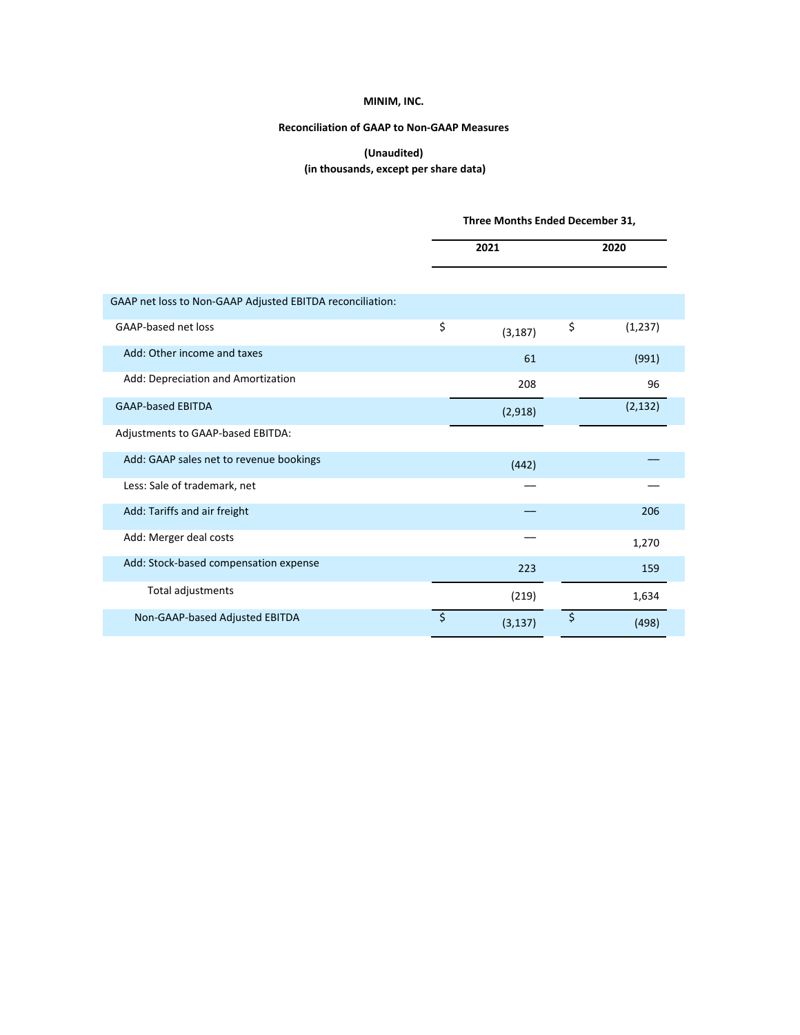#### **MINIM, INC.**

#### **Reconciliation of GAAP to Non-GAAP Measures**

#### **(Unaudited) (in thousands, except per share data)**

|                                                           | Three Months Ended December 31, |          |    |          |
|-----------------------------------------------------------|---------------------------------|----------|----|----------|
|                                                           | 2021                            |          |    | 2020     |
|                                                           |                                 |          |    |          |
| GAAP net loss to Non-GAAP Adjusted EBITDA reconciliation: |                                 |          |    |          |
| GAAP-based net loss                                       | \$                              | (3, 187) | \$ | (1,237)  |
| Add: Other income and taxes                               |                                 | 61       |    | (991)    |
| Add: Depreciation and Amortization                        |                                 | 208      |    | 96       |
| <b>GAAP-based EBITDA</b>                                  |                                 | (2,918)  |    | (2, 132) |
| Adjustments to GAAP-based EBITDA:                         |                                 |          |    |          |
| Add: GAAP sales net to revenue bookings                   |                                 | (442)    |    |          |
| Less: Sale of trademark, net                              |                                 |          |    |          |
| Add: Tariffs and air freight                              |                                 |          |    | 206      |
| Add: Merger deal costs                                    |                                 |          |    | 1,270    |
| Add: Stock-based compensation expense                     |                                 | 223      |    | 159      |
| Total adjustments                                         |                                 | (219)    |    | 1,634    |
| Non-GAAP-based Adjusted EBITDA                            | \$                              | (3, 137) | \$ | (498)    |
|                                                           |                                 |          |    |          |